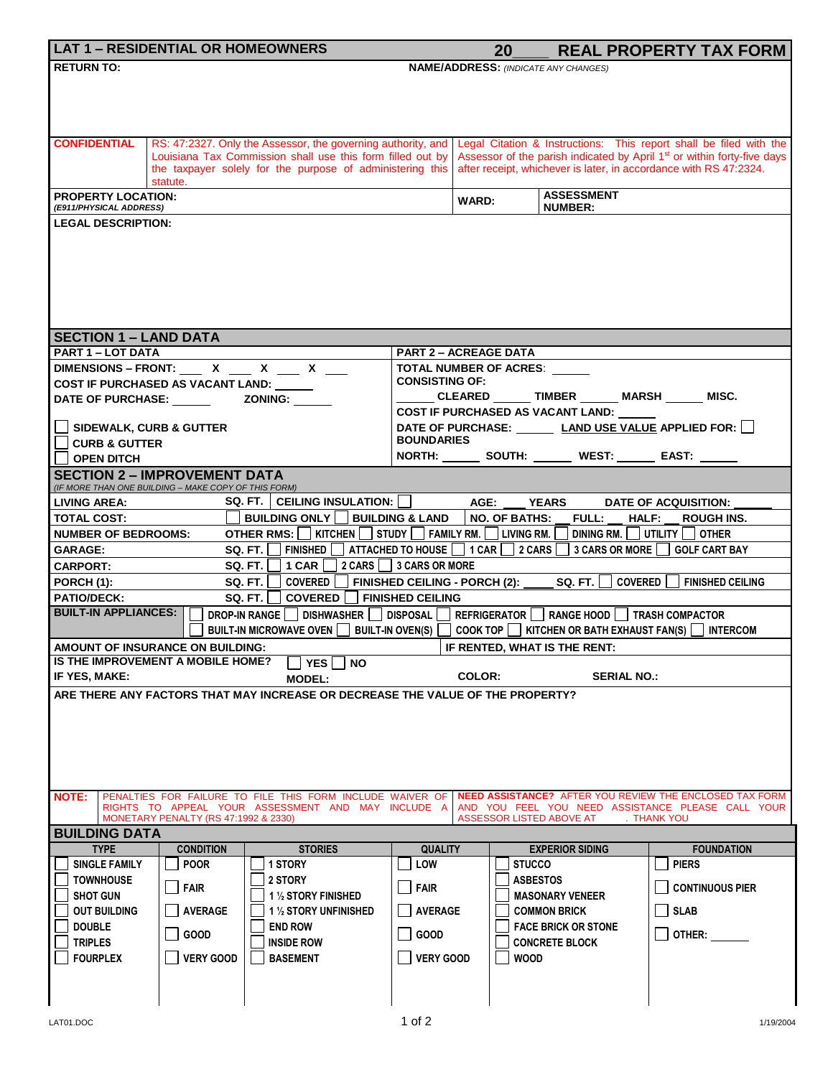|                                                                                                                                    | <b>LAT 1 - RESIDENTIAL OR HOMEOWNERS</b>             |                                                                                                                      |                              | 20                                                                                  |                                                            | <b>REAL PROPERTY TAX FORM</b>                                                                                                                                          |  |  |  |  |
|------------------------------------------------------------------------------------------------------------------------------------|------------------------------------------------------|----------------------------------------------------------------------------------------------------------------------|------------------------------|-------------------------------------------------------------------------------------|------------------------------------------------------------|------------------------------------------------------------------------------------------------------------------------------------------------------------------------|--|--|--|--|
| <b>RETURN TO:</b>                                                                                                                  |                                                      |                                                                                                                      |                              |                                                                                     | <b>NAME/ADDRESS: (INDICATE ANY CHANGES)</b>                |                                                                                                                                                                        |  |  |  |  |
|                                                                                                                                    |                                                      |                                                                                                                      |                              |                                                                                     |                                                            |                                                                                                                                                                        |  |  |  |  |
|                                                                                                                                    |                                                      |                                                                                                                      |                              |                                                                                     |                                                            |                                                                                                                                                                        |  |  |  |  |
|                                                                                                                                    |                                                      |                                                                                                                      |                              |                                                                                     |                                                            |                                                                                                                                                                        |  |  |  |  |
| <b>CONFIDENTIAL</b>                                                                                                                |                                                      | RS: 47:2327. Only the Assessor, the governing authority, and                                                         |                              |                                                                                     |                                                            | Legal Citation & Instructions: This report shall be filed with the                                                                                                     |  |  |  |  |
|                                                                                                                                    |                                                      | Louisiana Tax Commission shall use this form filled out by                                                           |                              | Assessor of the parish indicated by April 1 <sup>st</sup> or within forty-five days |                                                            |                                                                                                                                                                        |  |  |  |  |
|                                                                                                                                    | statute.                                             | the taxpayer solely for the purpose of administering this                                                            |                              | after receipt, whichever is later, in accordance with RS 47:2324.                   |                                                            |                                                                                                                                                                        |  |  |  |  |
| <b>PROPERTY LOCATION:</b>                                                                                                          |                                                      |                                                                                                                      |                              |                                                                                     | <b>ASSESSMENT</b>                                          |                                                                                                                                                                        |  |  |  |  |
| (E911/PHYSICAL ADDRESS)                                                                                                            |                                                      |                                                                                                                      |                              | <b>WARD:</b>                                                                        | <b>NUMBER:</b>                                             |                                                                                                                                                                        |  |  |  |  |
| <b>LEGAL DESCRIPTION:</b>                                                                                                          |                                                      |                                                                                                                      |                              |                                                                                     |                                                            |                                                                                                                                                                        |  |  |  |  |
|                                                                                                                                    |                                                      |                                                                                                                      |                              |                                                                                     |                                                            |                                                                                                                                                                        |  |  |  |  |
|                                                                                                                                    |                                                      |                                                                                                                      |                              |                                                                                     |                                                            |                                                                                                                                                                        |  |  |  |  |
|                                                                                                                                    |                                                      |                                                                                                                      |                              |                                                                                     |                                                            |                                                                                                                                                                        |  |  |  |  |
|                                                                                                                                    |                                                      |                                                                                                                      |                              |                                                                                     |                                                            |                                                                                                                                                                        |  |  |  |  |
|                                                                                                                                    |                                                      |                                                                                                                      |                              |                                                                                     |                                                            |                                                                                                                                                                        |  |  |  |  |
| <b>SECTION 1 - LAND DATA</b>                                                                                                       |                                                      |                                                                                                                      |                              |                                                                                     |                                                            |                                                                                                                                                                        |  |  |  |  |
| <b>PART 1 - LOT DATA</b>                                                                                                           |                                                      |                                                                                                                      | <b>PART 2 - ACREAGE DATA</b> |                                                                                     |                                                            |                                                                                                                                                                        |  |  |  |  |
|                                                                                                                                    |                                                      | DIMENSIONS - FRONT: X _ X _ X _ X _ X                                                                                |                              | <b>TOTAL NUMBER OF ACRES:</b>                                                       |                                                            |                                                                                                                                                                        |  |  |  |  |
|                                                                                                                                    | COST IF PURCHASED AS VACANT LAND: _____              |                                                                                                                      | <b>CONSISTING OF:</b>        |                                                                                     |                                                            |                                                                                                                                                                        |  |  |  |  |
|                                                                                                                                    |                                                      |                                                                                                                      |                              |                                                                                     | CLEARED _______ TIMBER ______ MARSH ______ MISC.           |                                                                                                                                                                        |  |  |  |  |
|                                                                                                                                    |                                                      |                                                                                                                      |                              |                                                                                     | COST IF PURCHASED AS VACANT LAND:                          |                                                                                                                                                                        |  |  |  |  |
| $\Box$ SIDEWALK, CURB & GUTTER                                                                                                     |                                                      |                                                                                                                      | <b>BOUNDARIES</b>            |                                                                                     |                                                            | DATE OF PURCHASE: LAND USE VALUE APPLIED FOR:                                                                                                                          |  |  |  |  |
| <b>CURB &amp; GUTTER</b>                                                                                                           |                                                      |                                                                                                                      |                              |                                                                                     | NORTH: ________ SOUTH: ________ WEST: _______ EAST: ______ |                                                                                                                                                                        |  |  |  |  |
| <b>OPEN DITCH</b>                                                                                                                  | <b>SECTION 2 - IMPROVEMENT DATA</b>                  |                                                                                                                      |                              |                                                                                     |                                                            |                                                                                                                                                                        |  |  |  |  |
|                                                                                                                                    | (IF MORE THAN ONE BUILDING - MAKE COPY OF THIS FORM) |                                                                                                                      |                              |                                                                                     |                                                            |                                                                                                                                                                        |  |  |  |  |
| LIVING AREA:                                                                                                                       |                                                      | SQ. FT.   CEILING INSULATION:                                                                                        |                              | AGE: YEARS                                                                          |                                                            | DATE OF ACQUISITION:                                                                                                                                                   |  |  |  |  |
| <b>TOTAL COST:</b>                                                                                                                 |                                                      | <b>BUILDING ONLY BUILDING &amp; LAND</b>                                                                             |                              | <b>NO. OF BATHS:</b>                                                                | <b>FULL:</b>                                               | <b>HALF:</b><br><b>ROUGH INS.</b>                                                                                                                                      |  |  |  |  |
| OTHER RMS: SHITCHEN STUDY SHILLY RM. SHITLIVING RM. SHITLITY SHITLITY SHITLITY SHITLITY SHITLITY SHI<br><b>NUMBER OF BEDROOMS:</b> |                                                      |                                                                                                                      |                              |                                                                                     |                                                            |                                                                                                                                                                        |  |  |  |  |
| SQ. FT. FINISHED ATTACHED TO HOUSE 1 CAR 2 CARS 3 CARS OR MORE GOLF CART BAY<br><b>GARAGE:</b>                                     |                                                      |                                                                                                                      |                              |                                                                                     |                                                            |                                                                                                                                                                        |  |  |  |  |
| 2 CARS 3 CARS OR MORE<br><b>SQ. FT.</b><br>  1 CAR    <br><b>CARPORT:</b>                                                          |                                                      |                                                                                                                      |                              |                                                                                     |                                                            |                                                                                                                                                                        |  |  |  |  |
| <b>PORCH (1):</b>                                                                                                                  |                                                      | SQ. FT. I<br>COVERED $\Box$ FINISHED CEILING - PORCH (2): SQ. FT. $\Box$                                             |                              |                                                                                     |                                                            | <b>COVERED</b>  <br><b>FINISHED CEILING</b>                                                                                                                            |  |  |  |  |
| <b>PATIO/DECK:</b><br><b>BUILT-IN APPLIANCES:</b>                                                                                  |                                                      | COVERED   FINISHED CEILING<br>SQ. FT. I<br>DROP-IN RANGE DISHWASHER DISPOSAL REFRIGERATOR RANGE HOOD TRASH COMPACTOR |                              |                                                                                     |                                                            |                                                                                                                                                                        |  |  |  |  |
|                                                                                                                                    |                                                      | <b>BUILT-IN MICROWAVE OVEN</b>                                                                                       |                              |                                                                                     |                                                            | BUILT-IN OVEN(S) $\Box$ COOK TOP $\Box$ KITCHEN OR BATH EXHAUST FAN(S) $\Box$ INTERCOM                                                                                 |  |  |  |  |
|                                                                                                                                    | AMOUNT OF INSURANCE ON BUILDING:                     |                                                                                                                      |                              |                                                                                     | IF RENTED, WHAT IS THE RENT:                               |                                                                                                                                                                        |  |  |  |  |
|                                                                                                                                    | IS THE IMPROVEMENT A MOBILE HOME?                    | $ YES $   NO                                                                                                         |                              |                                                                                     |                                                            |                                                                                                                                                                        |  |  |  |  |
| IF YES. MAKE:                                                                                                                      |                                                      | <b>MODEL:</b>                                                                                                        |                              | COLOR:                                                                              | <b>SERIAL NO.:</b>                                         |                                                                                                                                                                        |  |  |  |  |
|                                                                                                                                    |                                                      | ARE THERE ANY FACTORS THAT MAY INCREASE OR DECREASE THE VALUE OF THE PROPERTY?                                       |                              |                                                                                     |                                                            |                                                                                                                                                                        |  |  |  |  |
|                                                                                                                                    |                                                      |                                                                                                                      |                              |                                                                                     |                                                            |                                                                                                                                                                        |  |  |  |  |
|                                                                                                                                    |                                                      |                                                                                                                      |                              |                                                                                     |                                                            |                                                                                                                                                                        |  |  |  |  |
|                                                                                                                                    |                                                      |                                                                                                                      |                              |                                                                                     |                                                            |                                                                                                                                                                        |  |  |  |  |
|                                                                                                                                    |                                                      |                                                                                                                      |                              |                                                                                     |                                                            |                                                                                                                                                                        |  |  |  |  |
|                                                                                                                                    |                                                      |                                                                                                                      |                              |                                                                                     |                                                            |                                                                                                                                                                        |  |  |  |  |
| <b>NOTE:</b>                                                                                                                       |                                                      | RIGHTS TO APPEAL YOUR ASSESSMENT AND MAY INCLUDE A                                                                   |                              |                                                                                     |                                                            | PENALTIES FOR FAILURE TO FILE THIS FORM INCLUDE WAIVER OF NEED ASSISTANCE? AFTER YOU REVIEW THE ENCLOSED TAX FORM<br>AND YOU FEEL YOU NEED ASSISTANCE PLEASE CALL YOUR |  |  |  |  |
|                                                                                                                                    | MONETARY PENALTY (RS 47:1992 & 2330)                 |                                                                                                                      |                              | ASSESSOR LISTED ABOVE AT                                                            |                                                            | <b>THANK YOU</b>                                                                                                                                                       |  |  |  |  |
| <b>BUILDING DATA</b>                                                                                                               |                                                      |                                                                                                                      |                              |                                                                                     |                                                            |                                                                                                                                                                        |  |  |  |  |
| <b>TYPE</b>                                                                                                                        | <b>CONDITION</b>                                     | <b>STORIES</b>                                                                                                       | <b>QUALITY</b>               |                                                                                     | <b>EXPERIOR SIDING</b>                                     | <b>FOUNDATION</b>                                                                                                                                                      |  |  |  |  |
| <b>SINGLE FAMILY</b>                                                                                                               | <b>POOR</b>                                          | 1 STORY                                                                                                              | LOW                          | <b>STUCCO</b>                                                                       |                                                            | <b>PIERS</b>                                                                                                                                                           |  |  |  |  |
| <b>TOWNHOUSE</b>                                                                                                                   | FAIR                                                 | 2 STORY                                                                                                              | <b>FAIR</b>                  |                                                                                     | <b>ASBESTOS</b>                                            | <b>CONTINUOUS PIER</b>                                                                                                                                                 |  |  |  |  |
| <b>SHOT GUN</b><br><b>OUT BUILDING</b>                                                                                             | AVERAGE                                              | 1 1/2 STORY FINISHED                                                                                                 | <b>AVERAGE</b>               |                                                                                     | <b>MASONARY VENEER</b>                                     |                                                                                                                                                                        |  |  |  |  |
| <b>DOUBLE</b>                                                                                                                      |                                                      | 1 1/2 STORY UNFINISHED<br><b>END ROW</b>                                                                             |                              |                                                                                     | <b>COMMON BRICK</b><br><b>FACE BRICK OR STONE</b>          | <b>SLAB</b>                                                                                                                                                            |  |  |  |  |
| <b>TRIPLES</b>                                                                                                                     | GOOD                                                 | <b>INSIDE ROW</b>                                                                                                    | GOOD                         |                                                                                     | <b>CONCRETE BLOCK</b>                                      | OTHER:                                                                                                                                                                 |  |  |  |  |
| <b>FOURPLEX</b>                                                                                                                    | <b>VERY GOOD</b>                                     | <b>BASEMENT</b>                                                                                                      | <b>VERY GOOD</b>             | <b>WOOD</b>                                                                         |                                                            |                                                                                                                                                                        |  |  |  |  |
|                                                                                                                                    |                                                      |                                                                                                                      |                              |                                                                                     |                                                            |                                                                                                                                                                        |  |  |  |  |
|                                                                                                                                    |                                                      |                                                                                                                      |                              |                                                                                     |                                                            |                                                                                                                                                                        |  |  |  |  |
|                                                                                                                                    |                                                      |                                                                                                                      |                              |                                                                                     |                                                            |                                                                                                                                                                        |  |  |  |  |
| LAT01.DOC                                                                                                                          |                                                      |                                                                                                                      | 1 of $2$                     |                                                                                     |                                                            | 1/19/2004                                                                                                                                                              |  |  |  |  |